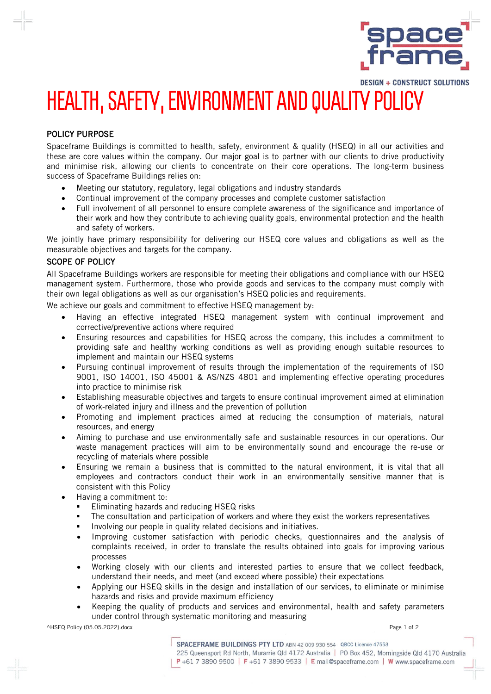

## **DESIGN + CONSTRUCT SOLUTIONS** HEALTH, SAFETY, ENVIRONMENT AND QUALITY POLICY

## POLICY PURPOSE

Spaceframe Buildings is committed to health, safety, environment & quality (HSEQ) in all our activities and these are core values within the company. Our major goal is to partner with our clients to drive productivity and minimise risk, allowing our clients to concentrate on their core operations. The long-term business success of Spaceframe Buildings relies on:

- Meeting our statutory, regulatory, legal obligations and industry standards
- Continual improvement of the company processes and complete customer satisfaction
- Full involvement of all personnel to ensure complete awareness of the significance and importance of their work and how they contribute to achieving quality goals, environmental protection and the health and safety of workers.

We jointly have primary responsibility for delivering our HSEQ core values and obligations as well as the measurable objectives and targets for the company.

## SCOPE OF POLICY

All Spaceframe Buildings workers are responsible for meeting their obligations and compliance with our HSEQ management system. Furthermore, those who provide goods and services to the company must comply with their own legal obligations as well as our organisation's HSEQ policies and requirements.

We achieve our goals and commitment to effective HSEQ management by:

- Having an effective integrated HSEQ management system with continual improvement and corrective/preventive actions where required
- Ensuring resources and capabilities for HSEQ across the company, this includes a commitment to providing safe and healthy working conditions as well as providing enough suitable resources to implement and maintain our HSEQ systems
- Pursuing continual improvement of results through the implementation of the requirements of ISO 9001, ISO 14001, ISO 45001 & AS/NZS 4801 and implementing effective operating procedures into practice to minimise risk
- Establishing measurable objectives and targets to ensure continual improvement aimed at elimination of work-related injury and illness and the prevention of pollution
- Promoting and implement practices aimed at reducing the consumption of materials, natural resources, and energy
- Aiming to purchase and use environmentally safe and sustainable resources in our operations. Our waste management practices will aim to be environmentally sound and encourage the re-use or recycling of materials where possible
- Ensuring we remain a business that is committed to the natural environment, it is vital that all employees and contractors conduct their work in an environmentally sensitive manner that is consistent with this Policy
- Having a commitment to:
	- Eliminating hazards and reducing HSEQ risks
	- The consultation and participation of workers and where they exist the workers representatives
	- Involving our people in quality related decisions and initiatives.
	- Improving customer satisfaction with periodic checks, questionnaires and the analysis of complaints received, in order to translate the results obtained into goals for improving various processes
	- Working closely with our clients and interested parties to ensure that we collect feedback, understand their needs, and meet (and exceed where possible) their expectations
	- Applying our HSEQ skills in the design and installation of our services, to eliminate or minimise hazards and risks and provide maximum efficiency
	- Keeping the quality of products and services and environmental, health and safety parameters under control through systematic monitoring and measuring

^HSEQ Policy (05.05.2022).docx Page 1 of 2